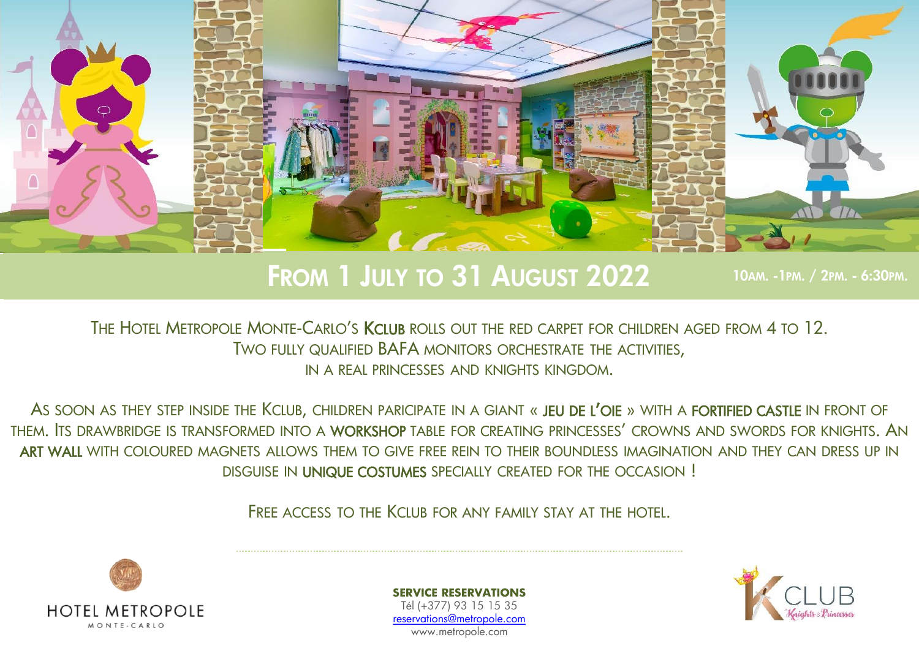

## FROM 1 JULY TO 31 AUGUST 2022 10AM. -1PM. / 2PM. - 6:30PM.

THE HOTEL METROPOLE MONTE-CARLO'S KCLUB ROLLS OUT THE RED CARPET FOR CHILDREN AGED FROM 4 TO 12. TWO FULLY QUALIFIED BAFA MONITORS ORCHESTRATE THE ACTIVITIES, IN A REAL PRINCESSES AND KNIGHTS KINGDOM.

AS SOON AS THEY STEP INSIDE THE KCLUB, CHILDREN PARICIPATE IN A GIANT « JEU DE L'OIE » WITH A FORTIFIED CASTLE IN FRONT OF THEM. ITS DRAWBRIDGE IS TRANSFORMED INTO A WORKSHOP TABLE FOR CREATING PRINCESSES' CROWNS AND SWORDS FOR KNIGHTS. AN ART WALL WITH COLOURED MAGNETS ALLOWS THEM TO GIVE FREE REIN TO THEIR BOUNDLESS IMAGINATION AND THEY CAN DRESS UP IN DISGUISE IN UNIQUE COSTUMES SPECIALLY CREATED FOR THE OCCASION !

FRFF ACCESS TO THE KCLUB FOR ANY FAMILY STAY AT THE HOTEL.



**SERVICE RESERVATIONS** Tél (+377) 93 15 15 35 [reservations@metropole.com](mailto:reservations@metropole.com) www.metropole.com